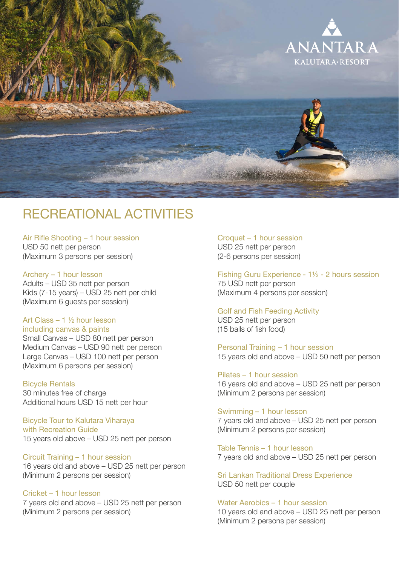

# RECREATIONAL ACTIVITIES

Air Rifle Shooting – 1 hour session USD 50 nett per person (Maximum 3 persons per session)

# Archery – 1 hour lesson

Adults – USD 35 nett per person Kids (7-15 years) – USD 25 nett per child (Maximum 6 guests per session)

# Art Class – 1 ½ hour lesson

including canvas & paints Small Canvas – USD 80 nett per person Medium Canvas – USD 90 nett per person Large Canvas – USD 100 nett per person (Maximum 6 persons per session)

# Bicycle Rentals

30 minutes free of charge Additional hours USD 15 nett per hour

#### Bicycle Tour to Kalutara Viharaya with Recreation Guide 15 years old above – USD 25 nett per person

Circuit Training – 1 hour session 16 years old and above – USD 25 nett per person (Minimum 2 persons per session)

#### Cricket – 1 hour lesson 7 years old and above – USD 25 nett per person

(Minimum 2 persons per session)

Croquet – 1 hour session USD 25 nett per person (2-6 persons per session)

Fishing Guru Experience - 1½ - 2 hours session 75 USD nett per person (Maximum 4 persons per session)

# Golf and Fish Feeding Activity USD 25 nett per person (15 balls of fish food)

Personal Training – 1 hour session 15 years old and above – USD 50 nett per person

Pilates – 1 hour session 16 years old and above – USD 25 nett per person (Minimum 2 persons per session)

Swimming – 1 hour lesson 7 years old and above – USD 25 nett per person (Minimum 2 persons per session)

Table Tennis – 1 hour lesson 7 years old and above – USD 25 nett per person

Sri Lankan Traditional Dress Experience USD 50 nett per couple

# Water Aerobics – 1 hour session 10 years old and above – USD 25 nett per person (Minimum 2 persons per session)